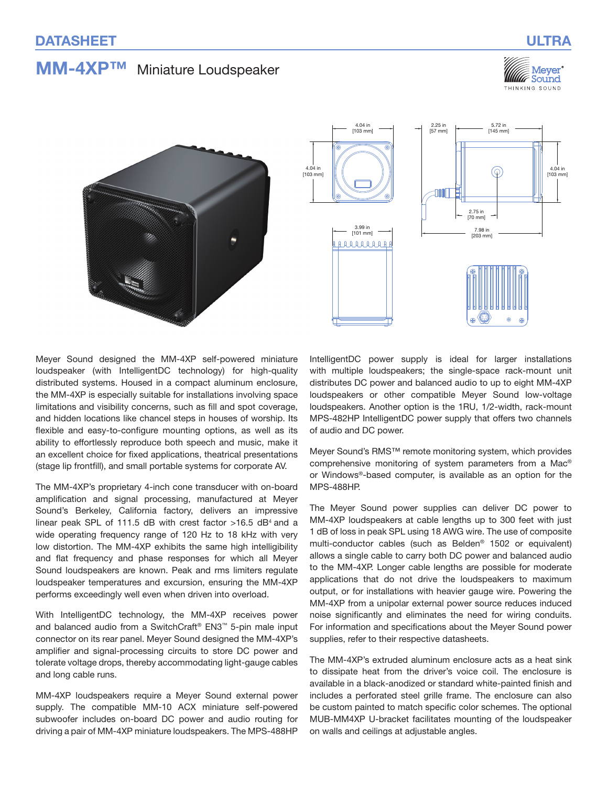# **MM-4XP™** Miniature Loudspeaker







Meyer Sound designed the MM‑4XP self-powered miniature loudspeaker (with IntelligentDC technology) for high-quality distributed systems. Housed in a compact aluminum enclosure, the MM‑4XP is especially suitable for installations involving space limitations and visibility concerns, such as fill and spot coverage, and hidden locations like chancel steps in houses of worship. Its flexible and easy-to-configure mounting options, as well as its ability to effortlessly reproduce both speech and music, make it an excellent choice for fixed applications, theatrical presentations (stage lip frontfill), and small portable systems for corporate AV.

The MM‑4XP's proprietary 4-inch cone transducer with on-board amplification and signal processing, manufactured at Meyer Sound's Berkeley, California factory, delivers an impressive linear peak SPL of 111.5 dB with crest factor  $>16.5$  dB<sup>4</sup> and a wide operating frequency range of 120 Hz to 18 kHz with very low distortion. The MM-4XP exhibits the same high intelligibility and flat frequency and phase responses for which all Meyer Sound loudspeakers are known. Peak and rms limiters regulate loudspeaker temperatures and excursion, ensuring the MM‑4XP performs exceedingly well even when driven into overload.

With IntelligentDC technology, the MM‑4XP receives power and balanced audio from a SwitchCraft® EN3™ 5-pin male input connector on its rear panel. Meyer Sound designed the MM‑4XP's amplifier and signal-processing circuits to store DC power and tolerate voltage drops, thereby accommodating light-gauge cables and long cable runs.

MM-4XP loudspeakers require a Meyer Sound external power supply. The compatible MM-10 ACX miniature self-powered subwoofer includes on-board DC power and audio routing for driving a pair of MM‑4XP miniature loudspeakers. The MPS‑488HP

IntelligentDC power supply is ideal for larger installations with multiple loudspeakers; the single-space rack-mount unit distributes DC power and balanced audio to up to eight MM‑4XP loudspeakers or other compatible Meyer Sound low-voltage loudspeakers. Another option is the 1RU, 1/2-width, rack-mount MPS-482HP IntelligentDC power supply that offers two channels of audio and DC power.

Meyer Sound's RMS™ remote monitoring system, which provides comprehensive monitoring of system parameters from a Mac® or Windows®‑based computer, is available as an option for the MPS‑488HP.

The Meyer Sound power supplies can deliver DC power to MM‑4XP loudspeakers at cable lengths up to 300 feet with just 1 dB of loss in peak SPL using 18 AWG wire. The use of composite multi-conductor cables (such as Belden® 1502 or equivalent) allows a single cable to carry both DC power and balanced audio to the MM‑4XP. Longer cable lengths are possible for moderate applications that do not drive the loudspeakers to maximum output, or for installations with heavier gauge wire. Powering the MM‑4XP from a unipolar external power source reduces induced noise significantly and eliminates the need for wiring conduits. For information and specifications about the Meyer Sound power supplies, refer to their respective datasheets.

The MM‑4XP's extruded aluminum enclosure acts as a heat sink to dissipate heat from the driver's voice coil. The enclosure is available in a black-anodized or standard white-painted finish and includes a perforated steel grille frame. The enclosure can also be custom painted to match specific color schemes. The optional MUB‑MM4XP U‑bracket facilitates mounting of the loudspeaker on walls and ceilings at adjustable angles.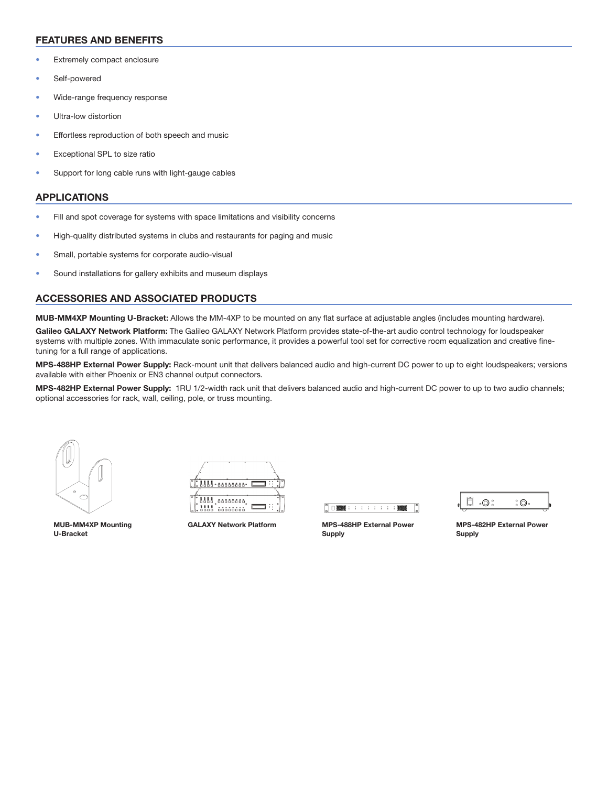## FEATURES AND BENEFITS

- Extremely compact enclosure
- Self-powered
- Wide-range frequency response
- Ultra-low distortion
- Effortless reproduction of both speech and music
- Exceptional SPL to size ratio
- Support for long cable runs with light-gauge cables

#### APPLICATIONS

- Fill and spot coverage for systems with space limitations and visibility concerns
- High-quality distributed systems in clubs and restaurants for paging and music
- Small, portable systems for corporate audio-visual
- Sound installations for gallery exhibits and museum displays

### ACCESSORIES AND ASSOCIATED PRODUCTS

MUB-MM4XP Mounting U-Bracket: Allows the MM-4XP to be mounted on any flat surface at adjustable angles (includes mounting hardware).

Galileo GALAXY Network Platform: The Galileo GALAXY Network Platform provides state-of-the-art audio control technology for loudspeaker systems with multiple zones. With immaculate sonic performance, it provides a powerful tool set for corrective room equalization and creative finetuning for a full range of applications.

MPS-488HP External Power Supply: Rack-mount unit that delivers balanced audio and high-current DC power to up to eight loudspeakers; versions available with either Phoenix or EN3 channel output connectors.

MPS-482HP External Power Supply: 1RU 1/2-width rack unit that delivers balanced audio and high-current DC power to up to two audio channels; optional accessories for rack, wall, ceiling, pole, or truss mounting.





MUB-MM4XP Mounting U-Bracket



GALAXY Network Platform MPS-488HP External Power Supply



MPS-482HP External Power Supply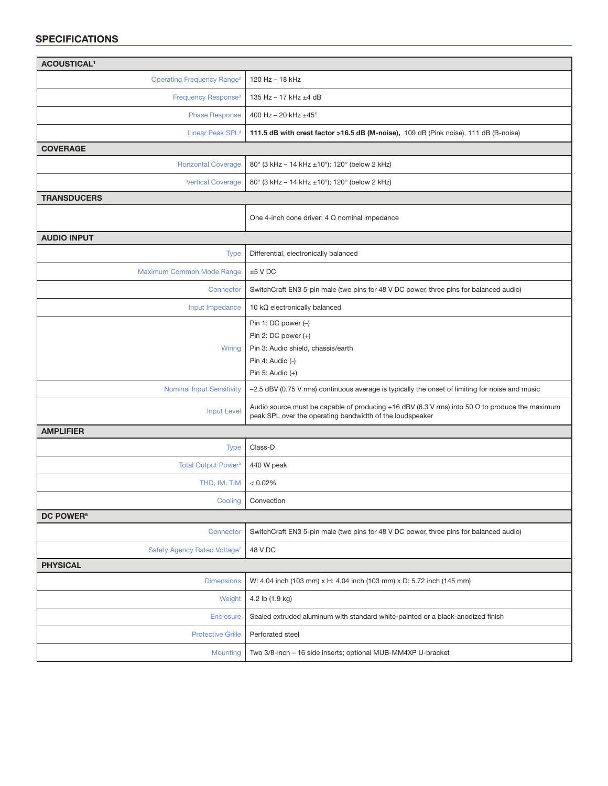## SPECIFICATIONS

| <b>ACOUSTICAL<sup>1</sup></b>                |                                                                                                                                                                   |
|----------------------------------------------|-------------------------------------------------------------------------------------------------------------------------------------------------------------------|
| <b>Operating Frequency Range<sup>2</sup></b> | 120 Hz - 18 kHz                                                                                                                                                   |
| Frequency Response <sup>3</sup>              | 135 Hz $-$ 17 kHz $\pm$ 4 dB                                                                                                                                      |
| <b>Phase Response</b>                        | 400 Hz - 20 kHz ±45°                                                                                                                                              |
| Linear Peak SPL <sup>4</sup>                 | 111.5 dB with crest factor >16.5 dB (M-noise), 109 dB (Pink noise), 111 dB (B-noise)                                                                              |
| <b>COVERAGE</b>                              |                                                                                                                                                                   |
| <b>Horizontal Coverage</b>                   | 80° (3 kHz – 14 kHz ±10°); 120° (below 2 kHz)                                                                                                                     |
| <b>Vertical Coverage</b>                     | 80° (3 kHz - 14 kHz ±10°); 120° (below 2 kHz)                                                                                                                     |
| <b>TRANSDUCERS</b>                           |                                                                                                                                                                   |
|                                              | One 4-inch cone driver; $4 \Omega$ nominal impedance                                                                                                              |
| <b>AUDIO INPUT</b>                           |                                                                                                                                                                   |
| <b>Type</b>                                  | Differential, electronically balanced                                                                                                                             |
| Maximum Common Mode Range                    | $±5$ V DC                                                                                                                                                         |
| Connector                                    | SwitchCraft EN3 5-pin male (two pins for 48 V DC power, three pins for balanced audio)                                                                            |
| Input Impedance                              | 10 $k\Omega$ electronically balanced                                                                                                                              |
| Wiring                                       | Pin 1: DC power $(-)$<br>Pin 2: DC power $(+)$<br>Pin 3: Audio shield, chassis/earth<br>Pin 4: Audio (-)<br>Pin 5: Audio $(+)$                                    |
| <b>Nominal Input Sensitivity</b>             | -2.5 dBV (0.75 V rms) continuous average is typically the onset of limiting for noise and music                                                                   |
| <b>Input Level</b>                           | Audio source must be capable of producing +16 dBV (6.3 V rms) into 50 $\Omega$ to produce the maximum<br>peak SPL over the operating bandwidth of the loudspeaker |
| <b>AMPLIFIER</b>                             |                                                                                                                                                                   |
| <b>Type</b>                                  | Class-D                                                                                                                                                           |
| <b>Total Output Power<sup>5</sup></b>        | 440 W peak                                                                                                                                                        |
| THD, IM, TIM                                 | $< 0.02\%$                                                                                                                                                        |
| Cooling                                      | Convection                                                                                                                                                        |
| DC POWER <sup>6</sup>                        |                                                                                                                                                                   |
| Connector                                    | SwitchCraft EN3 5-pin male (two pins for 48 V DC power, three pins for balanced audio)                                                                            |
| Safety Agency Rated Voltage <sup>7</sup>     | 48 V DC                                                                                                                                                           |
| <b>PHYSICAL</b>                              |                                                                                                                                                                   |
| <b>Dimensions</b>                            | W: 4.04 inch (103 mm) x H: 4.04 inch (103 mm) x D: 5.72 inch (145 mm)                                                                                             |
| Weight                                       | 4.2 lb (1.9 kg)                                                                                                                                                   |
| <b>Enclosure</b>                             | Sealed extruded aluminum with standard white-painted or a black-anodized finish                                                                                   |
| <b>Protective Grille</b>                     | Perforated steel                                                                                                                                                  |
| Mounting                                     | Two 3/8-inch - 16 side inserts; optional MUB-MM4XP U-bracket                                                                                                      |